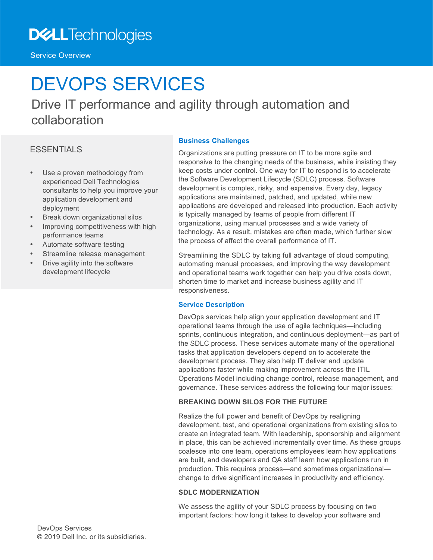Service Overview

# DEVOPS SERVICES

Drive IT performance and agility through automation and collaboration

### ESSENTIALS

- Use a proven methodology from experienced Dell Technologies consultants to help you improve your application development and deployment
- Break down organizational silos
- Improving competitiveness with high performance teams
- Automate software testing
- Streamline release management
- Drive agility into the software development lifecycle

#### **Business Challenges**

Organizations are putting pressure on IT to be more agile and responsive to the changing needs of the business, while insisting they keep costs under control. One way for IT to respond is to accelerate the Software Development Lifecycle (SDLC) process. Software development is complex, risky, and expensive. Every day, legacy applications are maintained, patched, and updated, while new applications are developed and released into production. Each activity is typically managed by teams of people from different IT organizations, using manual processes and a wide variety of technology. As a result, mistakes are often made, which further slow the process of affect the overall performance of IT.

Streamlining the SDLC by taking full advantage of cloud computing, automating manual processes, and improving the way development and operational teams work together can help you drive costs down, shorten time to market and increase business agility and IT responsiveness.

#### **Service Description**

DevOps services help align your application development and IT operational teams through the use of agile techniques—including sprints, continuous integration, and continuous deployment—as part of the SDLC process. These services automate many of the operational tasks that application developers depend on to accelerate the development process. They also help IT deliver and update applications faster while making improvement across the ITIL Operations Model including change control, release management, and governance. These services address the following four major issues:

#### **BREAKING DOWN SILOS FOR THE FUTURE**

Realize the full power and benefit of DevOps by realigning development, test, and operational organizations from existing silos to create an integrated team. With leadership, sponsorship and alignment in place, this can be achieved incrementally over time. As these groups coalesce into one team, operations employees learn how applications are built, and developers and QA staff learn how applications run in production. This requires process—and sometimes organizational change to drive significant increases in productivity and efficiency.

#### **SDLC MODERNIZATION**

We assess the agility of your SDLC process by focusing on two important factors: how long it takes to develop your software and